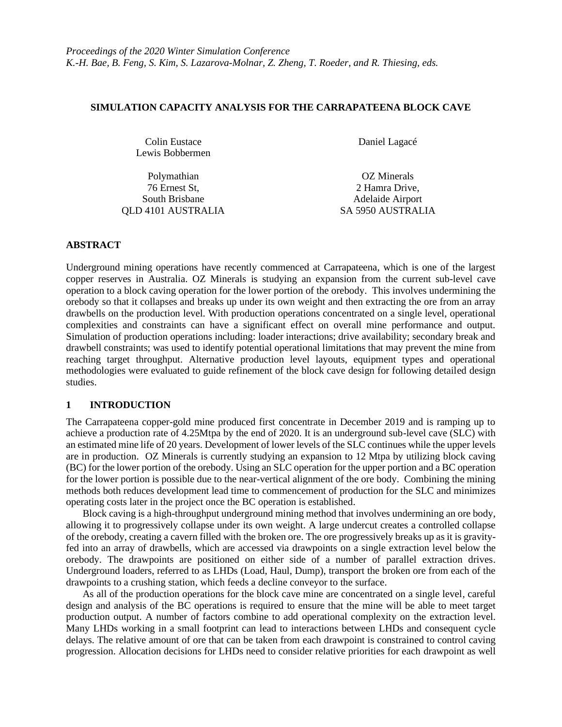## **SIMULATION CAPACITY ANALYSIS FOR THE CARRAPATEENA BLOCK CAVE**

Colin Eustace Daniel Lagacé Lewis Bobbermen

Polymathian OZ Minerals 76 Ernest St, 2 Hamra Drive, South Brisbane Adelaide Airport QLD 4101 AUSTRALIA SA 5950 AUSTRALIA

# **ABSTRACT**

Underground mining operations have recently commenced at Carrapateena, which is one of the largest copper reserves in Australia. OZ Minerals is studying an expansion from the current sub-level cave operation to a block caving operation for the lower portion of the orebody. This involves undermining the orebody so that it collapses and breaks up under its own weight and then extracting the ore from an array drawbells on the production level. With production operations concentrated on a single level, operational complexities and constraints can have a significant effect on overall mine performance and output. Simulation of production operations including: loader interactions; drive availability; secondary break and drawbell constraints; was used to identify potential operational limitations that may prevent the mine from reaching target throughput. Alternative production level layouts, equipment types and operational methodologies were evaluated to guide refinement of the block cave design for following detailed design studies.

## **1 INTRODUCTION**

The Carrapateena copper-gold mine produced first concentrate in December 2019 and is ramping up to achieve a production rate of 4.25Mtpa by the end of 2020. It is an underground sub-level cave (SLC) with an estimated mine life of 20 years. Development of lower levels of the SLC continues while the upper levels are in production. OZ Minerals is currently studying an expansion to 12 Mtpa by utilizing block caving (BC) for the lower portion of the orebody. Using an SLC operation for the upper portion and a BC operation for the lower portion is possible due to the near-vertical alignment of the ore body. Combining the mining methods both reduces development lead time to commencement of production for the SLC and minimizes operating costs later in the project once the BC operation is established.

Block caving is a high-throughput underground mining method that involves undermining an ore body, allowing it to progressively collapse under its own weight. A large undercut creates a controlled collapse of the orebody, creating a cavern filled with the broken ore. The ore progressively breaks up as it is gravityfed into an array of drawbells, which are accessed via drawpoints on a single extraction level below the orebody. The drawpoints are positioned on either side of a number of parallel extraction drives. Underground loaders, referred to as LHDs (Load, Haul, Dump), transport the broken ore from each of the drawpoints to a crushing station, which feeds a decline conveyor to the surface.

As all of the production operations for the block cave mine are concentrated on a single level, careful design and analysis of the BC operations is required to ensure that the mine will be able to meet target production output. A number of factors combine to add operational complexity on the extraction level. Many LHDs working in a small footprint can lead to interactions between LHDs and consequent cycle delays. The relative amount of ore that can be taken from each drawpoint is constrained to control caving progression. Allocation decisions for LHDs need to consider relative priorities for each drawpoint as well